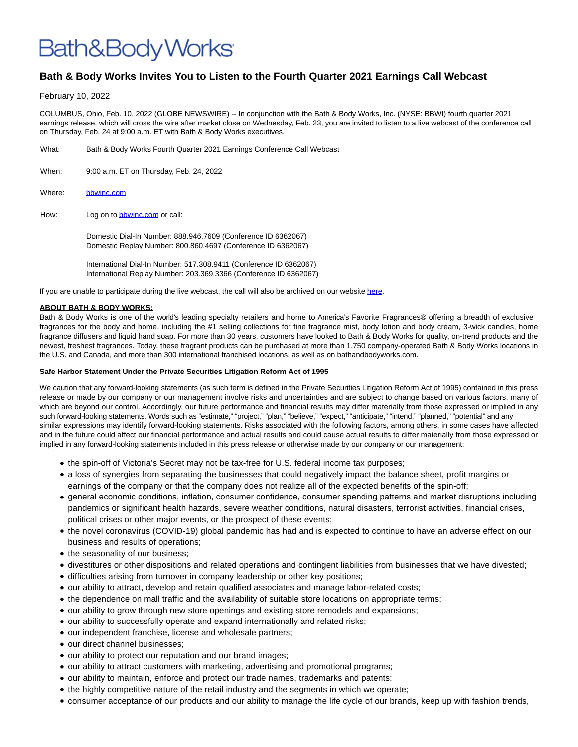## Bath&BodyWorks<sup>.</sup>

## **Bath & Body Works Invites You to Listen to the Fourth Quarter 2021 Earnings Call Webcast**

February 10, 2022

COLUMBUS, Ohio, Feb. 10, 2022 (GLOBE NEWSWIRE) -- In conjunction with the Bath & Body Works, Inc. (NYSE: BBWI) fourth quarter 2021 earnings release, which will cross the wire after market close on Wednesday, Feb. 23, you are invited to listen to a live webcast of the conference call on Thursday, Feb. 24 at 9:00 a.m. ET with Bath & Body Works executives.

- What: Bath & Body Works Fourth Quarter 2021 Earnings Conference Call Webcast
- When: 9:00 a.m. ET on Thursday, Feb. 24, 2022
- Where: [bbwinc.com](https://www.bbwinc.com/)
- How: Log on t[o bbwinc.com o](https://www.bbwinc.com/)r call:

Domestic Dial-In Number: 888.946.7609 (Conference ID 6362067) Domestic Replay Number: 800.860.4697 (Conference ID 6362067)

International Dial-In Number: 517.308.9411 (Conference ID 6362067) International Replay Number: 203.369.3366 (Conference ID 6362067)

If you are unable to participate during the live webcast, the call will also be archived on our websit[e here.](https://www.globenewswire.com/Tracker?data=1tgZlBoYjygKlexAPCMjA3_X6hC39d37RJpvOUmnUecxNBNrzPDjP6ry4sptam-asmDMpRMi9m8o96O6IdVKCptesbwEBiJ0NHXEUJbsT6V4-dbxUaLTzoNjrk4cZXWLyZDZlJrNmODaxaxvk49Y9Q==)

## **ABOUT BATH & BODY WORKS:**

Bath & Body Works is one of the world's leading specialty retailers and home to America's Favorite Fragrances® offering a breadth of exclusive fragrances for the body and home, including the #1 selling collections for fine fragrance mist, body lotion and body cream, 3-wick candles, home fragrance diffusers and liquid hand soap. For more than 30 years, customers have looked to Bath & Body Works for quality, on-trend products and the newest, freshest fragrances. Today, these fragrant products can be purchased at more than 1,750 company-operated Bath & Body Works locations in the U.S. and Canada, and more than 300 international franchised locations, as well as on bathandbodyworks.com.

## **Safe Harbor Statement Under the Private Securities Litigation Reform Act of 1995**

We caution that any forward-looking statements (as such term is defined in the Private Securities Litigation Reform Act of 1995) contained in this press release or made by our company or our management involve risks and uncertainties and are subject to change based on various factors, many of which are beyond our control. Accordingly, our future performance and financial results may differ materially from those expressed or implied in any such forward-looking statements. Words such as "estimate," "project," "plan," "believe," "expect," "anticipate," "intend," "planned," "potential" and any similar expressions may identify forward-looking statements. Risks associated with the following factors, among others, in some cases have affected and in the future could affect our financial performance and actual results and could cause actual results to differ materially from those expressed or implied in any forward-looking statements included in this press release or otherwise made by our company or our management:

- the spin-off of Victoria's Secret may not be tax-free for U.S. federal income tax purposes;
- a loss of synergies from separating the businesses that could negatively impact the balance sheet, profit margins or earnings of the company or that the company does not realize all of the expected benefits of the spin-off;
- general economic conditions, inflation, consumer confidence, consumer spending patterns and market disruptions including pandemics or significant health hazards, severe weather conditions, natural disasters, terrorist activities, financial crises, political crises or other major events, or the prospect of these events;
- the novel coronavirus (COVID-19) global pandemic has had and is expected to continue to have an adverse effect on our business and results of operations;
- the seasonality of our business;
- divestitures or other dispositions and related operations and contingent liabilities from businesses that we have divested;
- difficulties arising from turnover in company leadership or other key positions;
- our ability to attract, develop and retain qualified associates and manage labor-related costs;
- the dependence on mall traffic and the availability of suitable store locations on appropriate terms;
- our ability to grow through new store openings and existing store remodels and expansions;
- our ability to successfully operate and expand internationally and related risks;
- our independent franchise, license and wholesale partners;
- our direct channel businesses;
- our ability to protect our reputation and our brand images;
- our ability to attract customers with marketing, advertising and promotional programs;
- our ability to maintain, enforce and protect our trade names, trademarks and patents;
- the highly competitive nature of the retail industry and the segments in which we operate;
- consumer acceptance of our products and our ability to manage the life cycle of our brands, keep up with fashion trends,